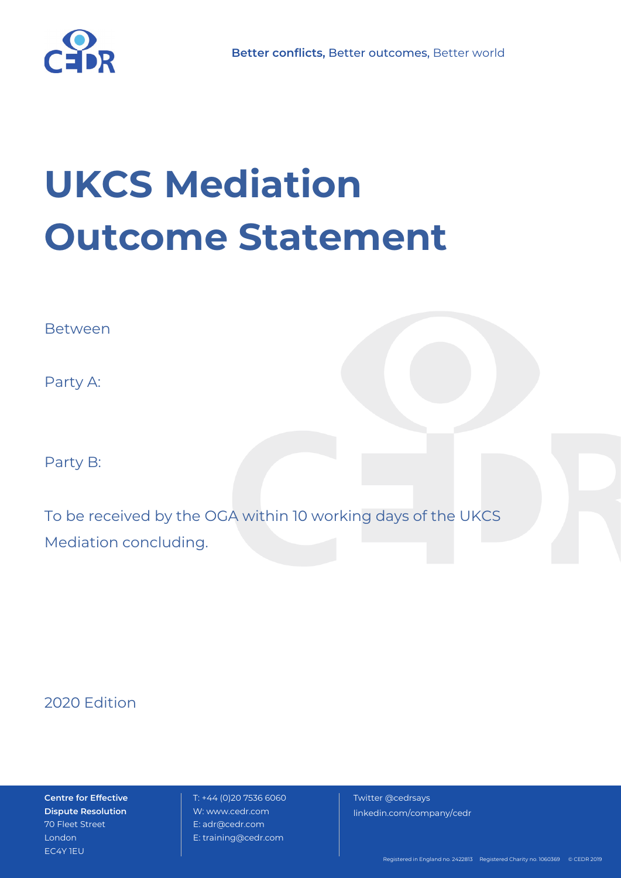

# **UKCS Mediation Outcome Statement**

Between

Party A:

Party B:

To be received by the OGA within 10 working days of the UKCS Mediation concluding.

2020 Edition

**Centre for Effective Dispute Resolution** 70 Fleet Street London EC4Y 1EU

 T: +44 (0)20 7536 6060 W: www.cedr.com E: adr@cedr.com E: training@cedr.com

 Twitter @cedrsays linkedin.com/company/cedr